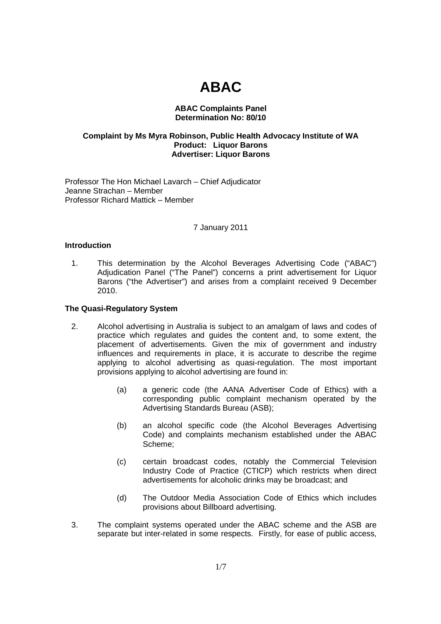# **ABAC**

# **ABAC Complaints Panel Determination No: 80/10**

# **Complaint by Ms Myra Robinson, Public Health Advocacy Institute of WA Product: Liquor Barons Advertiser: Liquor Barons**

Professor The Hon Michael Lavarch – Chief Adjudicator Jeanne Strachan – Member Professor Richard Mattick – Member

## 7 January 2011

## **Introduction**

1. This determination by the Alcohol Beverages Advertising Code ("ABAC") Adjudication Panel ("The Panel") concerns a print advertisement for Liquor Barons ("the Advertiser") and arises from a complaint received 9 December 2010.

# **The Quasi-Regulatory System**

- 2. Alcohol advertising in Australia is subject to an amalgam of laws and codes of practice which regulates and guides the content and, to some extent, the placement of advertisements. Given the mix of government and industry influences and requirements in place, it is accurate to describe the regime applying to alcohol advertising as quasi-regulation. The most important provisions applying to alcohol advertising are found in:
	- (a) a generic code (the AANA Advertiser Code of Ethics) with a corresponding public complaint mechanism operated by the Advertising Standards Bureau (ASB);
	- (b) an alcohol specific code (the Alcohol Beverages Advertising Code) and complaints mechanism established under the ABAC Scheme;
	- (c) certain broadcast codes, notably the Commercial Television Industry Code of Practice (CTICP) which restricts when direct advertisements for alcoholic drinks may be broadcast; and
	- (d) The Outdoor Media Association Code of Ethics which includes provisions about Billboard advertising.
- 3. The complaint systems operated under the ABAC scheme and the ASB are separate but inter-related in some respects. Firstly, for ease of public access,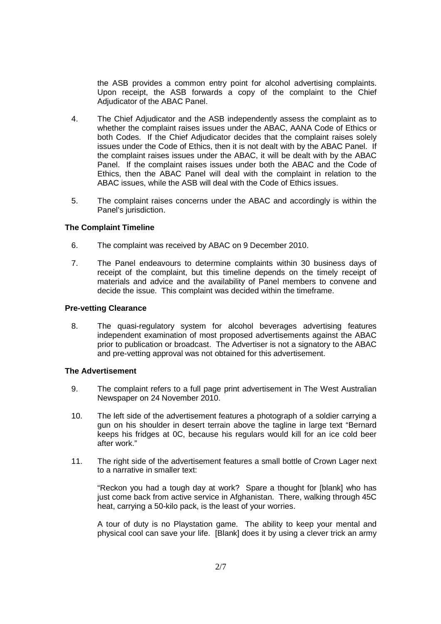the ASB provides a common entry point for alcohol advertising complaints. Upon receipt, the ASB forwards a copy of the complaint to the Chief Adjudicator of the ABAC Panel.

- 4. The Chief Adjudicator and the ASB independently assess the complaint as to whether the complaint raises issues under the ABAC, AANA Code of Ethics or both Codes. If the Chief Adjudicator decides that the complaint raises solely issues under the Code of Ethics, then it is not dealt with by the ABAC Panel. If the complaint raises issues under the ABAC, it will be dealt with by the ABAC Panel. If the complaint raises issues under both the ABAC and the Code of Ethics, then the ABAC Panel will deal with the complaint in relation to the ABAC issues, while the ASB will deal with the Code of Ethics issues.
- 5. The complaint raises concerns under the ABAC and accordingly is within the Panel's jurisdiction.

# **The Complaint Timeline**

- 6. The complaint was received by ABAC on 9 December 2010.
- 7. The Panel endeavours to determine complaints within 30 business days of receipt of the complaint, but this timeline depends on the timely receipt of materials and advice and the availability of Panel members to convene and decide the issue. This complaint was decided within the timeframe.

# **Pre-vetting Clearance**

8. The quasi-regulatory system for alcohol beverages advertising features independent examination of most proposed advertisements against the ABAC prior to publication or broadcast. The Advertiser is not a signatory to the ABAC and pre-vetting approval was not obtained for this advertisement.

# **The Advertisement**

- 9. The complaint refers to a full page print advertisement in The West Australian Newspaper on 24 November 2010.
- 10. The left side of the advertisement features a photograph of a soldier carrying a gun on his shoulder in desert terrain above the tagline in large text "Bernard keeps his fridges at 0C, because his regulars would kill for an ice cold beer after work."
- 11. The right side of the advertisement features a small bottle of Crown Lager next to a narrative in smaller text:

"Reckon you had a tough day at work? Spare a thought for [blank] who has just come back from active service in Afghanistan. There, walking through 45C heat, carrying a 50-kilo pack, is the least of your worries.

A tour of duty is no Playstation game. The ability to keep your mental and physical cool can save your life. [Blank] does it by using a clever trick an army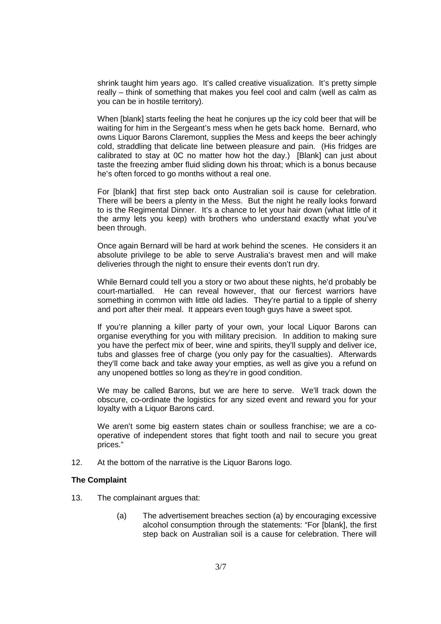shrink taught him years ago. It's called creative visualization. It's pretty simple really – think of something that makes you feel cool and calm (well as calm as you can be in hostile territory).

When [blank] starts feeling the heat he conjures up the icy cold beer that will be waiting for him in the Sergeant's mess when he gets back home. Bernard, who owns Liquor Barons Claremont, supplies the Mess and keeps the beer achingly cold, straddling that delicate line between pleasure and pain. (His fridges are calibrated to stay at 0C no matter how hot the day.) [Blank] can just about taste the freezing amber fluid sliding down his throat; which is a bonus because he's often forced to go months without a real one.

For [blank] that first step back onto Australian soil is cause for celebration. There will be beers a plenty in the Mess. But the night he really looks forward to is the Regimental Dinner. It's a chance to let your hair down (what little of it the army lets you keep) with brothers who understand exactly what you've been through.

Once again Bernard will be hard at work behind the scenes. He considers it an absolute privilege to be able to serve Australia's bravest men and will make deliveries through the night to ensure their events don't run dry.

While Bernard could tell you a story or two about these nights, he'd probably be court-martialled. He can reveal however, that our fiercest warriors have something in common with little old ladies. They're partial to a tipple of sherry and port after their meal. It appears even tough guys have a sweet spot.

If you're planning a killer party of your own, your local Liquor Barons can organise everything for you with military precision. In addition to making sure you have the perfect mix of beer, wine and spirits, they'll supply and deliver ice, tubs and glasses free of charge (you only pay for the casualties). Afterwards they'll come back and take away your empties, as well as give you a refund on any unopened bottles so long as they're in good condition.

We may be called Barons, but we are here to serve. We'll track down the obscure, co-ordinate the logistics for any sized event and reward you for your loyalty with a Liquor Barons card.

We aren't some big eastern states chain or soulless franchise; we are a cooperative of independent stores that fight tooth and nail to secure you great prices."

12. At the bottom of the narrative is the Liquor Barons logo.

#### **The Complaint**

- 13. The complainant argues that:
	- (a) The advertisement breaches section (a) by encouraging excessive alcohol consumption through the statements: "For [blank], the first step back on Australian soil is a cause for celebration. There will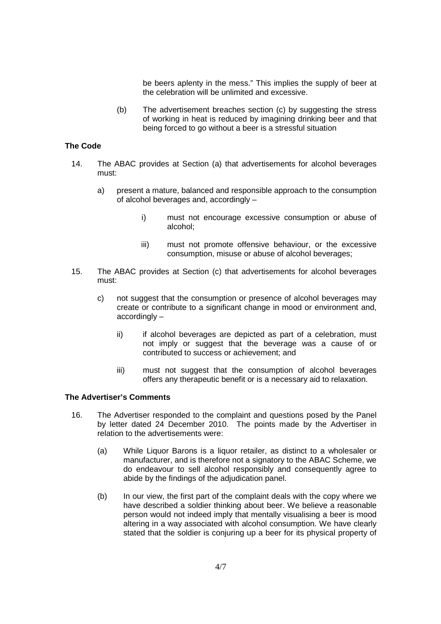be beers aplenty in the mess." This implies the supply of beer at the celebration will be unlimited and excessive.

(b) The advertisement breaches section (c) by suggesting the stress of working in heat is reduced by imagining drinking beer and that being forced to go without a beer is a stressful situation

# **The Code**

- 14. The ABAC provides at Section (a) that advertisements for alcohol beverages must:
	- a) present a mature, balanced and responsible approach to the consumption of alcohol beverages and, accordingly –
		- i) must not encourage excessive consumption or abuse of alcohol;
		- iii) must not promote offensive behaviour, or the excessive consumption, misuse or abuse of alcohol beverages;
- 15. The ABAC provides at Section (c) that advertisements for alcohol beverages must:
	- c) not suggest that the consumption or presence of alcohol beverages may create or contribute to a significant change in mood or environment and, accordingly –
		- ii) if alcohol beverages are depicted as part of a celebration, must not imply or suggest that the beverage was a cause of or contributed to success or achievement; and
		- iii) must not suggest that the consumption of alcohol beverages offers any therapeutic benefit or is a necessary aid to relaxation.

# **The Advertiser's Comments**

- 16. The Advertiser responded to the complaint and questions posed by the Panel by letter dated 24 December 2010. The points made by the Advertiser in relation to the advertisements were:
	- (a) While Liquor Barons is a liquor retailer, as distinct to a wholesaler or manufacturer, and is therefore not a signatory to the ABAC Scheme, we do endeavour to sell alcohol responsibly and consequently agree to abide by the findings of the adjudication panel.
	- (b) In our view, the first part of the complaint deals with the copy where we have described a soldier thinking about beer. We believe a reasonable person would not indeed imply that mentally visualising a beer is mood altering in a way associated with alcohol consumption. We have clearly stated that the soldier is conjuring up a beer for its physical property of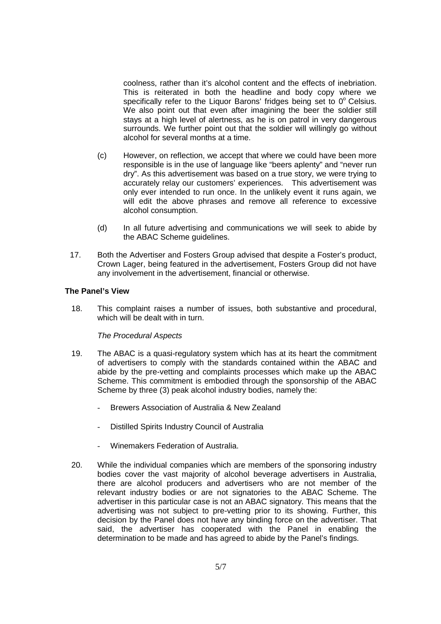coolness, rather than it's alcohol content and the effects of inebriation. This is reiterated in both the headline and body copy where we specifically refer to the Liquor Barons' fridges being set to  $0^\circ$  Celsius. We also point out that even after imagining the beer the soldier still stays at a high level of alertness, as he is on patrol in very dangerous surrounds. We further point out that the soldier will willingly go without alcohol for several months at a time.

- (c) However, on reflection, we accept that where we could have been more responsible is in the use of language like "beers aplenty" and "never run dry". As this advertisement was based on a true story, we were trying to accurately relay our customers' experiences. This advertisement was only ever intended to run once. In the unlikely event it runs again, we will edit the above phrases and remove all reference to excessive alcohol consumption.
- (d) In all future advertising and communications we will seek to abide by the ABAC Scheme guidelines.
- 17. Both the Advertiser and Fosters Group advised that despite a Foster's product, Crown Lager, being featured in the advertisement, Fosters Group did not have any involvement in the advertisement, financial or otherwise.

## **The Panel's View**

18. This complaint raises a number of issues, both substantive and procedural, which will be dealt with in turn.

## The Procedural Aspects

- 19. The ABAC is a quasi-regulatory system which has at its heart the commitment of advertisers to comply with the standards contained within the ABAC and abide by the pre-vetting and complaints processes which make up the ABAC Scheme. This commitment is embodied through the sponsorship of the ABAC Scheme by three (3) peak alcohol industry bodies, namely the:
	- Brewers Association of Australia & New Zealand
	- Distilled Spirits Industry Council of Australia
	- Winemakers Federation of Australia.
- 20. While the individual companies which are members of the sponsoring industry bodies cover the vast majority of alcohol beverage advertisers in Australia, there are alcohol producers and advertisers who are not member of the relevant industry bodies or are not signatories to the ABAC Scheme. The advertiser in this particular case is not an ABAC signatory. This means that the advertising was not subject to pre-vetting prior to its showing. Further, this decision by the Panel does not have any binding force on the advertiser. That said, the advertiser has cooperated with the Panel in enabling the determination to be made and has agreed to abide by the Panel's findings.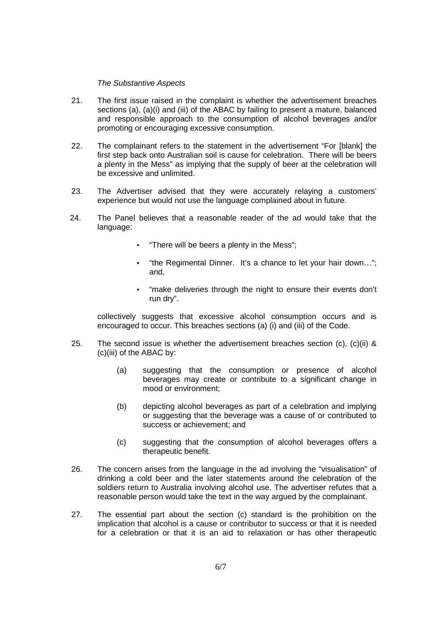## The Substantive Aspects

- 21. The first issue raised in the complaint is whether the advertisement breaches sections (a), (a)(i) and (iii) of the ABAC by failing to present a mature, balanced and responsible approach to the consumption of alcohol beverages and/or promoting or encouraging excessive consumption.
- 22. The complainant refers to the statement in the advertisement "For [blank] the first step back onto Australian soil is cause for celebration. There will be beers a plenty in the Mess" as implying that the supply of beer at the celebration will be excessive and unlimited.
- 23. The Advertiser advised that they were accurately relaying a customers' experience but would not use the language complained about in future.
- 24. The Panel believes that a reasonable reader of the ad would take that the language:
	- "There will be beers a plenty in the Mess";
	- "the Regimental Dinner. It's a chance to let your hair down…"; and,
	- "make deliveries through the night to ensure their events don't run dry".

collectively suggests that excessive alcohol consumption occurs and is encouraged to occur. This breaches sections (a) (i) and (iii) of the Code.

- 25. The second issue is whether the advertisement breaches section (c), (c)(ii)  $\&$ (c)(iii) of the ABAC by:
	- (a) suggesting that the consumption or presence of alcohol beverages may create or contribute to a significant change in mood or environment;
	- (b) depicting alcohol beverages as part of a celebration and implying or suggesting that the beverage was a cause of or contributed to success or achievement; and
	- (c) suggesting that the consumption of alcohol beverages offers a therapeutic benefit.
- 26. The concern arises from the language in the ad involving the "visualisation" of drinking a cold beer and the later statements around the celebration of the soldiers return to Australia involving alcohol use. The advertiser refutes that a reasonable person would take the text in the way argued by the complainant.
- 27. The essential part about the section (c) standard is the prohibition on the implication that alcohol is a cause or contributor to success or that it is needed for a celebration or that it is an aid to relaxation or has other therapeutic